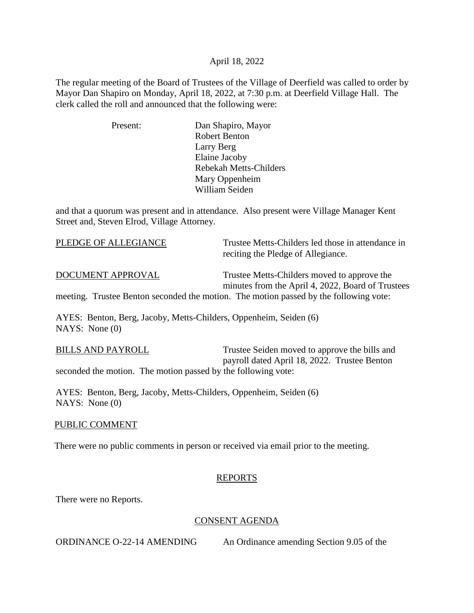## April 18, 2022

The regular meeting of the Board of Trustees of the Village of Deerfield was called to order by Mayor Dan Shapiro on Monday, April 18, 2022, at 7:30 p.m. at Deerfield Village Hall. The clerk called the roll and announced that the following were:

| Present: | Dan Shapiro, Mayor            |
|----------|-------------------------------|
|          | <b>Robert Benton</b>          |
|          | Larry Berg                    |
|          | Elaine Jacoby                 |
|          | <b>Rebekah Metts-Childers</b> |
|          | Mary Oppenheim                |
|          | William Seiden                |

and that a quorum was present and in attendance. Also present were Village Manager Kent Street and, Steven Elrod, Village Attorney.

| PLEDGE OF ALLEGIANCE                                              | Trustee Metts-Childers led those in attendance in<br>reciting the Pledge of Allegiance.          |
|-------------------------------------------------------------------|--------------------------------------------------------------------------------------------------|
| DOCUMENT APPROVAL                                                 | Trustee Metts-Childers moved to approve the<br>minutes from the April 4, 2022, Board of Trustees |
|                                                                   | meeting. Trustee Benton seconded the motion. The motion passed by the following vote:            |
| AYES: Benton, Berg, Jacoby, Metts-Childers, Oppenheim, Seiden (6) |                                                                                                  |

NAYS: None (0)

BILLS AND PAYROLL Trustee Seiden moved to approve the bills and payroll dated April 18, 2022. Trustee Benton seconded the motion. The motion passed by the following vote:

AYES: Benton, Berg, Jacoby, Metts-Childers, Oppenheim, Seiden (6) NAYS: None (0)

## PUBLIC COMMENT

There were no public comments in person or received via email prior to the meeting.

# REPORTS

There were no Reports.

# CONSENT AGENDA

ORDINANCE O-22-14 AMENDING An Ordinance amending Section 9.05 of the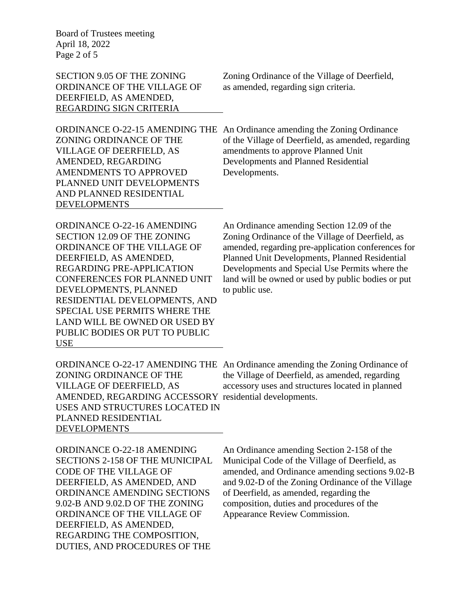Board of Trustees meeting April 18, 2022 Page 2 of 5

ORDINANCE OF THE VILLAGE OF as amended, regarding sign criteria. DEERFIELD, AS AMENDED, REGARDING SIGN CRITERIA

SECTION 9.05 OF THE ZONING Zoning Ordinance of the Village of Deerfield,

VILLAGE OF DEERFIELD, AS amendments to approve Planned Unit AMENDED, REGARDING Developments and Planned Residential AMENDMENTS TO APPROVED Developments. PLANNED UNIT DEVELOPMENTS AND PLANNED RESIDENTIAL DEVELOPMENTS

ORDINANCE O-22-15 AMENDING THE An Ordinance amending the Zoning Ordinance ZONING ORDINANCE OF THE of the Village of Deerfield, as amended, regarding

ORDINANCE O-22-16 AMENDING An Ordinance amending Section 12.09 of the DEVELOPMENTS, PLANNED to public use. RESIDENTIAL DEVELOPMENTS, AND SPECIAL USE PERMITS WHERE THE LAND WILL BE OWNED OR USED BY PUBLIC BODIES OR PUT TO PUBLIC USE

SECTION 12.09 OF THE ZONING Zoning Ordinance of the Village of Deerfield, as ORDINANCE OF THE VILLAGE OF amended, regarding pre-application conferences for DEERFIELD, AS AMENDED, Planned Unit Developments, Planned Residential REGARDING PRE-APPLICATION Developments and Special Use Permits where the CONFERENCES FOR PLANNED UNIT land will be owned or used by public bodies or put

ORDINANCE O-22-17 AMENDING THE An Ordinance amending the Zoning Ordinance of AMENDED, REGARDING ACCESSORY residential developments. USES AND STRUCTURES LOCATED IN PLANNED RESIDENTIAL DEVELOPMENTS

ORDINANCE AMENDING SECTIONS of Deerfield, as amended, regarding the 9.02-B AND 9.02.D OF THE ZONING composition, duties and procedures of the ORDINANCE OF THE VILLAGE OF Appearance Review Commission. DEERFIELD, AS AMENDED, REGARDING THE COMPOSITION, DUTIES, AND PROCEDURES OF THE

ZONING ORDINANCE OF THE the Village of Deerfield, as amended, regarding VILLAGE OF DEERFIELD, AS accessory uses and structures located in planned

ORDINANCE O-22-18 AMENDING An Ordinance amending Section 2-158 of the SECTIONS 2-158 OF THE MUNICIPAL Municipal Code of the Village of Deerfield, as CODE OF THE VILLAGE OF amended, and Ordinance amending sections 9.02-B DEERFIELD, AS AMENDED, AND and 9.02-D of the Zoning Ordinance of the Village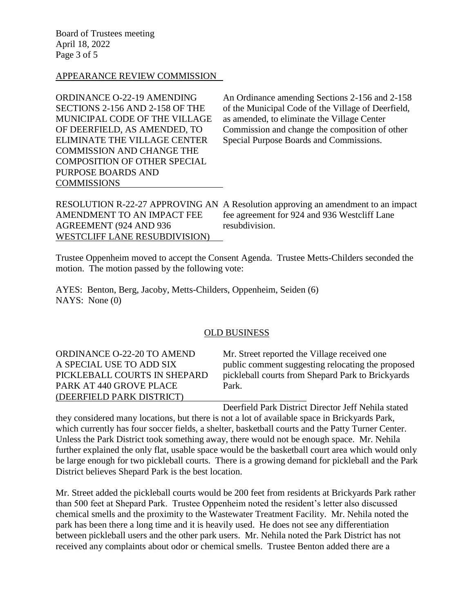Board of Trustees meeting April 18, 2022 Page 3 of 5

# APPEARANCE REVIEW COMMISSION

COMMISSION AND CHANGE THE COMPOSITION OF OTHER SPECIAL PURPOSE BOARDS AND COMMISSIONS

ORDINANCE O-22-19 AMENDING An Ordinance amending Sections 2-156 and 2-158 SECTIONS 2-156 AND 2-158 OF THE of the Municipal Code of the Village of Deerfield, MUNICIPAL CODE OF THE VILLAGE as amended, to eliminate the Village Center OF DEERFIELD, AS AMENDED, TO Commission and change the composition of other ELIMINATE THE VILLAGE CENTER Special Purpose Boards and Commissions.

RESOLUTION R-22-27 APPROVING AN A Resolution approving an amendment to an impact AMENDMENT TO AN IMPACT FEE fee agreement for 924 and 936 Westcliff Lane AGREEMENT (924 AND 936 resubdivision. WESTCLIFF LANE RESUBDIVISION)

Trustee Oppenheim moved to accept the Consent Agenda. Trustee Metts-Childers seconded the motion. The motion passed by the following vote:

AYES: Benton, Berg, Jacoby, Metts-Childers, Oppenheim, Seiden (6) NAYS: None (0)

#### OLD BUSINESS

PARK AT 440 GROVE PLACE Park. (DEERFIELD PARK DISTRICT)

ORDINANCE O-22-20 TO AMEND Mr. Street reported the Village received one A SPECIAL USE TO ADD SIX public comment suggesting relocating the proposed PICKLEBALL COURTS IN SHEPARD pickleball courts from Shepard Park to Brickyards

Deerfield Park District Director Jeff Nehila stated

they considered many locations, but there is not a lot of available space in Brickyards Park, which currently has four soccer fields, a shelter, basketball courts and the Patty Turner Center. Unless the Park District took something away, there would not be enough space. Mr. Nehila further explained the only flat, usable space would be the basketball court area which would only be large enough for two pickleball courts. There is a growing demand for pickleball and the Park District believes Shepard Park is the best location.

Mr. Street added the pickleball courts would be 200 feet from residents at Brickyards Park rather than 500 feet at Shepard Park. Trustee Oppenheim noted the resident's letter also discussed chemical smells and the proximity to the Wastewater Treatment Facility. Mr. Nehila noted the park has been there a long time and it is heavily used. He does not see any differentiation between pickleball users and the other park users. Mr. Nehila noted the Park District has not received any complaints about odor or chemical smells. Trustee Benton added there are a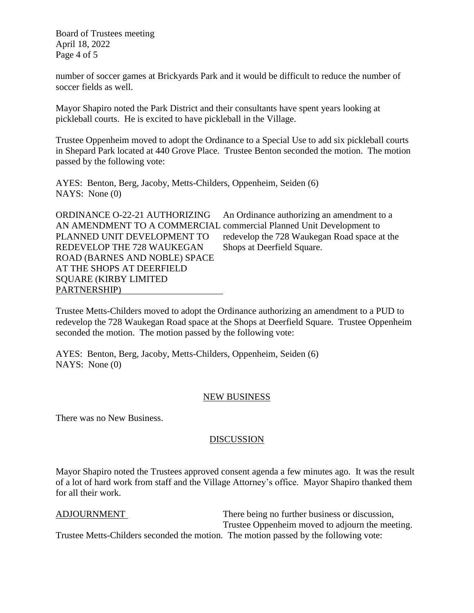Board of Trustees meeting April 18, 2022 Page 4 of 5

number of soccer games at Brickyards Park and it would be difficult to reduce the number of soccer fields as well.

Mayor Shapiro noted the Park District and their consultants have spent years looking at pickleball courts. He is excited to have pickleball in the Village.

Trustee Oppenheim moved to adopt the Ordinance to a Special Use to add six pickleball courts in Shepard Park located at 440 Grove Place. Trustee Benton seconded the motion. The motion passed by the following vote:

AYES: Benton, Berg, Jacoby, Metts-Childers, Oppenheim, Seiden (6) NAYS: None (0)

ORDINANCE O-22-21 AUTHORIZING An Ordinance authorizing an amendment to a AN AMENDMENT TO A COMMERCIAL commercial Planned Unit Development to PLANNED UNIT DEVELOPMENT TO redevelop the 728 Waukegan Road space at the REDEVELOP THE 728 WAUKEGAN Shops at Deerfield Square. ROAD (BARNES AND NOBLE) SPACE AT THE SHOPS AT DEERFIELD SQUARE (KIRBY LIMITED PARTNERSHIP)

Trustee Metts-Childers moved to adopt the Ordinance authorizing an amendment to a PUD to redevelop the 728 Waukegan Road space at the Shops at Deerfield Square. Trustee Oppenheim seconded the motion. The motion passed by the following vote:

AYES: Benton, Berg, Jacoby, Metts-Childers, Oppenheim, Seiden (6) NAYS: None (0)

# NEW BUSINESS

There was no New Business.

# DISCUSSION

Mayor Shapiro noted the Trustees approved consent agenda a few minutes ago. It was the result of a lot of hard work from staff and the Village Attorney's office. Mayor Shapiro thanked them for all their work.

ADJOURNMENT There being no further business or discussion, Trustee Oppenheim moved to adjourn the meeting.

Trustee Metts-Childers seconded the motion. The motion passed by the following vote: